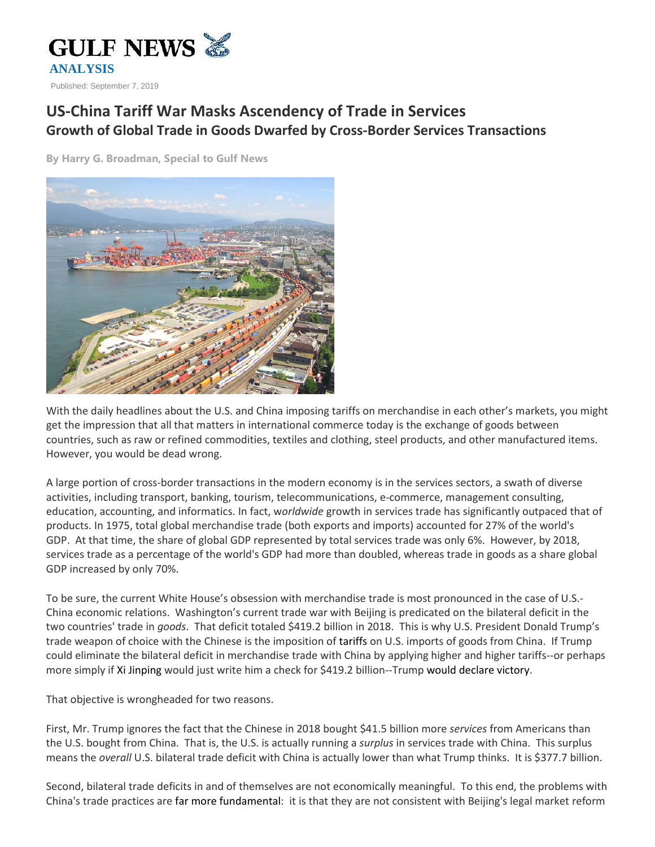

## **US-China Tariff War Masks Ascendency of Trade in Services Growth of Global Trade in Goods Dwarfed by Cross-Border Services Transactions**

**By Harry G. Broadman, Special to Gulf News**



With the daily headlines about the U.S. and China imposing tariffs on merchandise in each other's markets, you might get the impression that all that matters in international commerce today is the exchange of goods between countries, such as raw or refined commodities, textiles and clothing, steel products, and other manufactured items. However, you would be dead wrong.

A large portion of cross-border transactions in the modern economy is in the services sectors, a swath of diverse activities, including transport, banking, tourism, telecommunications, e-commerce, management consulting, education, accounting, and informatics. In fact, w*orldwide* growth in services trade has significantly outpaced that of products. In 1975, total global merchandise trade (both exports and imports) accounted for 27% of the world's GDP. At that time, the share of global GDP represented by total services trade was only 6%. However, by 2018, services trade as a percentage of the world's GDP had more than doubled, whereas trade in goods as a share global GDP increased by only 70%.

To be sure, the current White House's obsession with merchandise trade is most pronounced in the case of U.S.- China economic relations. Washington's current trade war with Beijing is predicated on the bilateral deficit in the two countries' trade in *goods*. That deficit totaled \$419.2 billion in 2018. This is why U.S. President Donald Trump's trade weapon of choice with the Chinese is the imposition of tariffs on U.S. imports of goods from China. If Trump could eliminate the bilateral deficit in merchandise trade with China by applying higher and higher tariffs--or perhaps more simply if Xi Jinping would just write him a check for \$419.2 billion--Trump would declare victory.

That objective is wrongheaded for two reasons.

First, Mr. Trump ignores the fact that the Chinese in 2018 bought \$41.5 billion more *services* from Americans than the U.S. bought from China. That is, the U.S. is actually running a *surplus* in services trade with China. This surplus means the *overall* U.S. bilateral trade deficit with China is actually lower than what Trump thinks. It is \$377.7 billion.

Second, bilateral trade deficits in and of themselves are not economically meaningful. To this end, the problems with China's trade practices are far more fundamental: it is that they are not consistent with Beijing's legal market reform